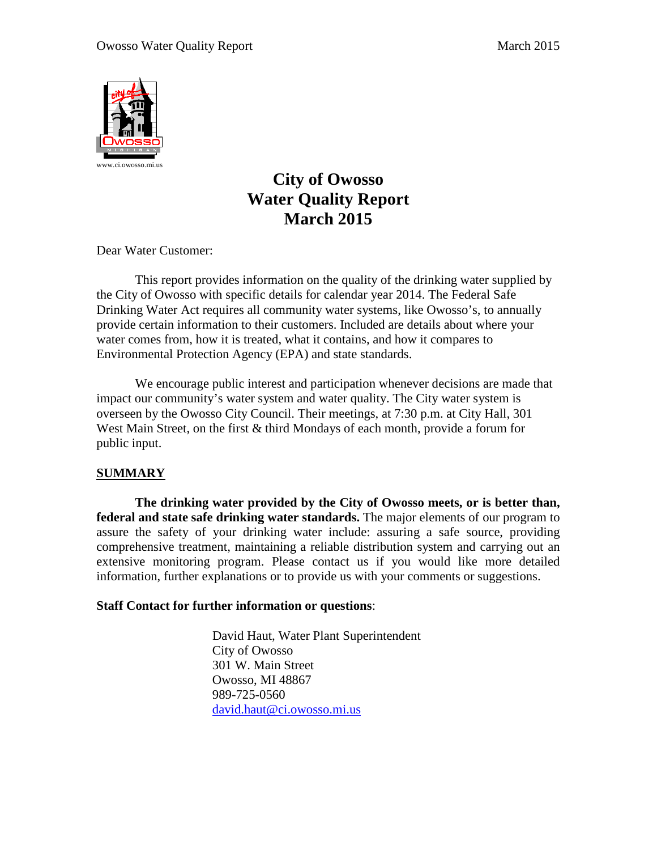

# **City of Owosso Water Quality Report March 2015**

Dear Water Customer:

This report provides information on the quality of the drinking water supplied by the City of Owosso with specific details for calendar year 2014. The Federal Safe Drinking Water Act requires all community water systems, like Owosso's, to annually provide certain information to their customers. Included are details about where your water comes from, how it is treated, what it contains, and how it compares to Environmental Protection Agency (EPA) and state standards.

We encourage public interest and participation whenever decisions are made that impact our community's water system and water quality. The City water system is overseen by the Owosso City Council. Their meetings, at 7:30 p.m. at City Hall, 301 West Main Street, on the first & third Mondays of each month, provide a forum for public input.

## **SUMMARY**

**The drinking water provided by the City of Owosso meets, or is better than, federal and state safe drinking water standards.** The major elements of our program to assure the safety of your drinking water include: assuring a safe source, providing comprehensive treatment, maintaining a reliable distribution system and carrying out an extensive monitoring program. Please contact us if you would like more detailed information, further explanations or to provide us with your comments or suggestions.

## **Staff Contact for further information or questions**:

David Haut, Water Plant Superintendent City of Owosso 301 W. Main Street Owosso, MI 48867 989-725-0560 [david.haut@ci.owosso.mi.us](mailto:david.haut@ci.owosso.mi.us)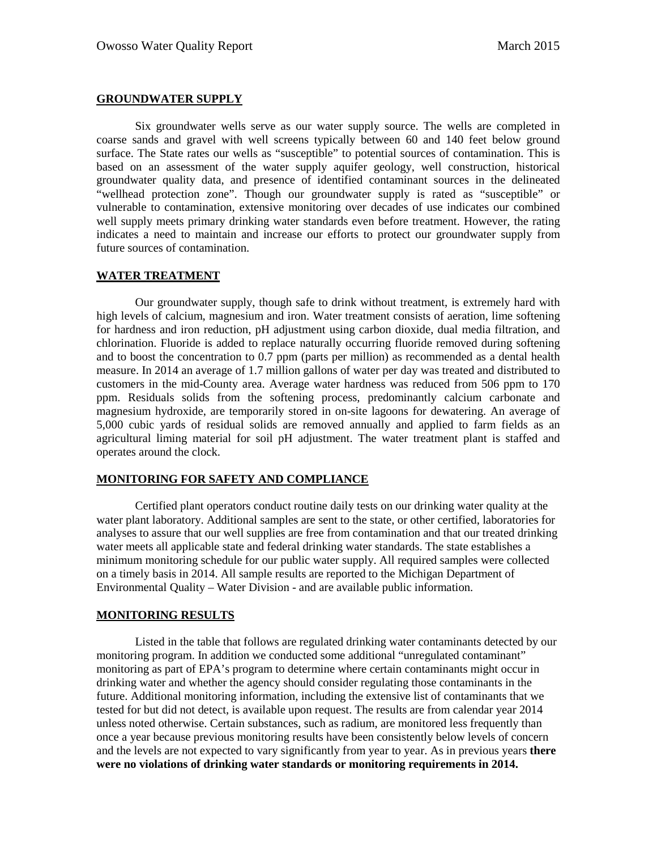#### **GROUNDWATER SUPPLY**

Six groundwater wells serve as our water supply source. The wells are completed in coarse sands and gravel with well screens typically between 60 and 140 feet below ground surface. The State rates our wells as "susceptible" to potential sources of contamination. This is based on an assessment of the water supply aquifer geology, well construction, historical groundwater quality data, and presence of identified contaminant sources in the delineated "wellhead protection zone". Though our groundwater supply is rated as "susceptible" or vulnerable to contamination, extensive monitoring over decades of use indicates our combined well supply meets primary drinking water standards even before treatment. However, the rating indicates a need to maintain and increase our efforts to protect our groundwater supply from future sources of contamination.

### **WATER TREATMENT**

Our groundwater supply, though safe to drink without treatment, is extremely hard with high levels of calcium, magnesium and iron. Water treatment consists of aeration, lime softening for hardness and iron reduction, pH adjustment using carbon dioxide, dual media filtration, and chlorination. Fluoride is added to replace naturally occurring fluoride removed during softening and to boost the concentration to 0.7 ppm (parts per million) as recommended as a dental health measure. In 2014 an average of 1.7 million gallons of water per day was treated and distributed to customers in the mid-County area. Average water hardness was reduced from 506 ppm to 170 ppm. Residuals solids from the softening process, predominantly calcium carbonate and magnesium hydroxide, are temporarily stored in on-site lagoons for dewatering. An average of 5,000 cubic yards of residual solids are removed annually and applied to farm fields as an agricultural liming material for soil pH adjustment. The water treatment plant is staffed and operates around the clock.

#### **MONITORING FOR SAFETY AND COMPLIANCE**

Certified plant operators conduct routine daily tests on our drinking water quality at the water plant laboratory. Additional samples are sent to the state, or other certified, laboratories for analyses to assure that our well supplies are free from contamination and that our treated drinking water meets all applicable state and federal drinking water standards. The state establishes a minimum monitoring schedule for our public water supply. All required samples were collected on a timely basis in 2014. All sample results are reported to the Michigan Department of Environmental Quality – Water Division - and are available public information.

#### **MONITORING RESULTS**

Listed in the table that follows are regulated drinking water contaminants detected by our monitoring program. In addition we conducted some additional "unregulated contaminant" monitoring as part of EPA's program to determine where certain contaminants might occur in drinking water and whether the agency should consider regulating those contaminants in the future. Additional monitoring information, including the extensive list of contaminants that we tested for but did not detect, is available upon request. The results are from calendar year 2014 unless noted otherwise. Certain substances, such as radium, are monitored less frequently than once a year because previous monitoring results have been consistently below levels of concern and the levels are not expected to vary significantly from year to year. As in previous years **there were no violations of drinking water standards or monitoring requirements in 2014.**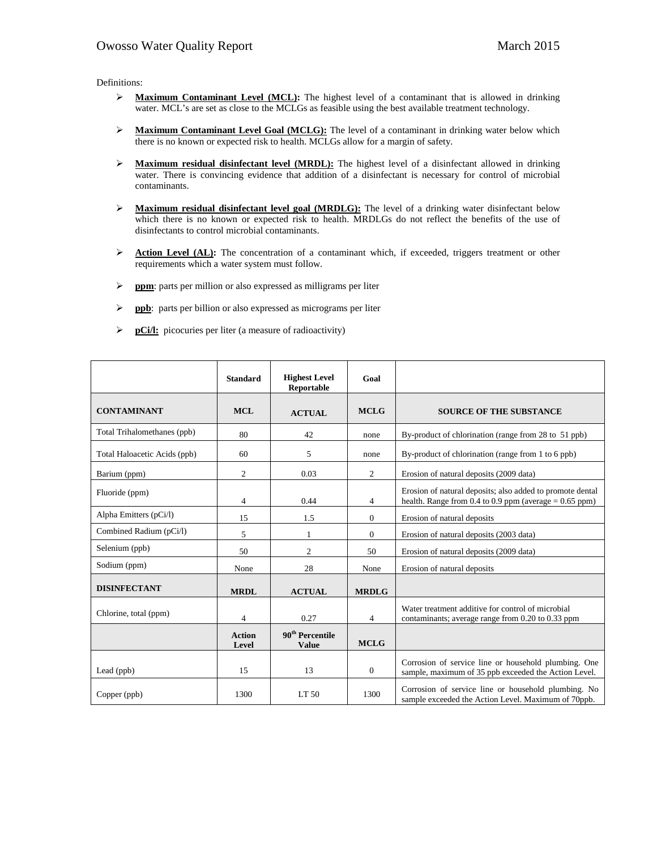Definitions:

- **Maximum Contaminant Level (MCL):** The highest level of a contaminant that is allowed in drinking water. MCL's are set as close to the MCLGs as feasible using the best available treatment technology.
- **EXECUTE:** Maximum Contaminant Level Goal (MCLG): The level of a contaminant in drinking water below which there is no known or expected risk to health. MCLGs allow for a margin of safety.
- **Maximum residual disinfectant level (MRDL):** The highest level of a disinfectant allowed in drinking water. There is convincing evidence that addition of a disinfectant is necessary for control of microbial contaminants.
- **EXECT** Maximum residual disinfectant level goal (MRDLG): The level of a drinking water disinfectant below which there is no known or expected risk to health. MRDLGs do not reflect the benefits of the use of disinfectants to control microbial contaminants.
- **Action Level (AL):** The concentration of a contaminant which, if exceeded, triggers treatment or other requirements which a water system must follow.
- **ppm**: parts per million or also expressed as milligrams per liter
- **ppb**: parts per billion or also expressed as micrograms per liter
- **pCi/l:** picocuries per liter (a measure of radioactivity)

|                              | <b>Standard</b>        | <b>Highest Level</b><br>Reportable          | Goal           |                                                                                                                           |
|------------------------------|------------------------|---------------------------------------------|----------------|---------------------------------------------------------------------------------------------------------------------------|
| <b>CONTAMINANT</b>           | <b>MCL</b>             | <b>ACTUAL</b>                               | <b>MCLG</b>    | <b>SOURCE OF THE SUBSTANCE</b>                                                                                            |
| Total Trihalomethanes (ppb)  | 80                     | 42                                          | none           | By-product of chlorination (range from 28 to 51 ppb)                                                                      |
| Total Haloacetic Acids (ppb) | 60                     | 5                                           | none           | By-product of chlorination (range from 1 to 6 ppb)                                                                        |
| Barium (ppm)                 | 2                      | 0.03                                        | 2              | Erosion of natural deposits (2009 data)                                                                                   |
| Fluoride (ppm)               | 4                      | 0.44                                        | 4              | Erosion of natural deposits; also added to promote dental<br>health. Range from $0.4$ to $0.9$ ppm (average = $0.65$ ppm) |
| Alpha Emitters (pCi/l)       | 15                     | 1.5                                         | $\overline{0}$ | Erosion of natural deposits                                                                                               |
| Combined Radium (pCi/l)      | 5                      |                                             | $\mathbf{0}$   | Erosion of natural deposits (2003 data)                                                                                   |
| Selenium (ppb)               | 50                     | 2                                           | 50             | Erosion of natural deposits (2009 data)                                                                                   |
| Sodium (ppm)                 | None                   | 28                                          | None           | Erosion of natural deposits                                                                                               |
| <b>DISINFECTANT</b>          | <b>MRDL</b>            | <b>ACTUAL</b>                               | <b>MRDLG</b>   |                                                                                                                           |
| Chlorine, total (ppm)        | 4                      | 0.27                                        | 4              | Water treatment additive for control of microbial<br>contaminants; average range from 0.20 to 0.33 ppm                    |
|                              | <b>Action</b><br>Level | 90 <sup>th</sup> Percentile<br><b>Value</b> | <b>MCLG</b>    |                                                                                                                           |
| Lead (ppb)                   | 15                     | 13                                          | $\overline{0}$ | Corrosion of service line or household plumbing. One<br>sample, maximum of 35 ppb exceeded the Action Level.              |
| Copper (ppb)                 | 1300                   | LT <sub>50</sub>                            | 1300           | Corrosion of service line or household plumbing. No<br>sample exceeded the Action Level. Maximum of 70ppb.                |